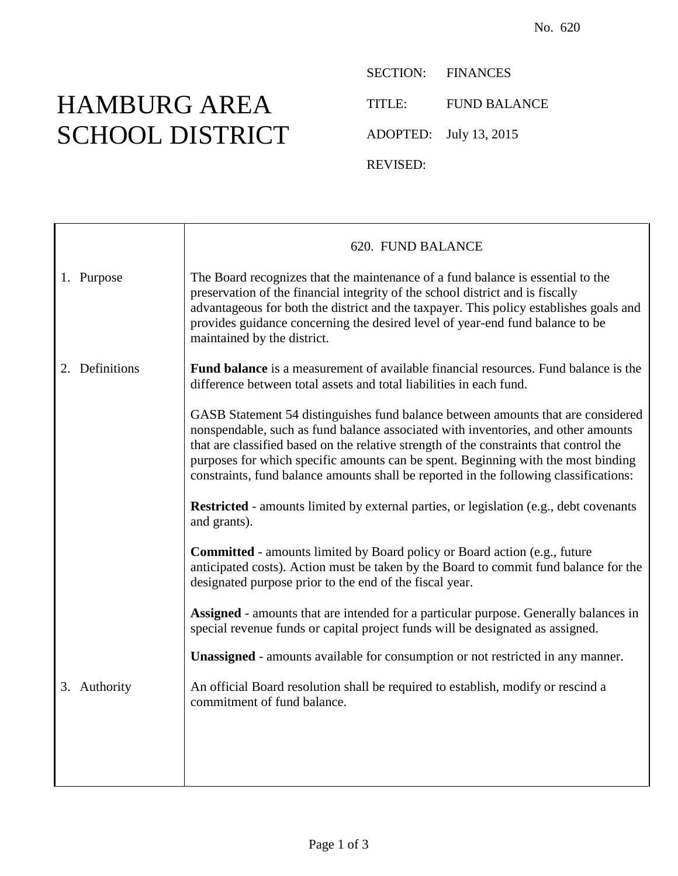## HAMBURG AREA SCHOOL DISTRICT

SECTION: FINANCES TITLE: FUND BALANCE ADOPTED: July 13, 2015 REVISED:

|                | 620. FUND BALANCE                                                                                                                                                                                                                                                                                                                                                                                                                             |
|----------------|-----------------------------------------------------------------------------------------------------------------------------------------------------------------------------------------------------------------------------------------------------------------------------------------------------------------------------------------------------------------------------------------------------------------------------------------------|
| 1. Purpose     | The Board recognizes that the maintenance of a fund balance is essential to the<br>preservation of the financial integrity of the school district and is fiscally<br>advantageous for both the district and the taxpayer. This policy establishes goals and<br>provides guidance concerning the desired level of year-end fund balance to be<br>maintained by the district.                                                                   |
| 2. Definitions | Fund balance is a measurement of available financial resources. Fund balance is the<br>difference between total assets and total liabilities in each fund.                                                                                                                                                                                                                                                                                    |
|                | GASB Statement 54 distinguishes fund balance between amounts that are considered<br>nonspendable, such as fund balance associated with inventories, and other amounts<br>that are classified based on the relative strength of the constraints that control the<br>purposes for which specific amounts can be spent. Beginning with the most binding<br>constraints, fund balance amounts shall be reported in the following classifications: |
|                | Restricted - amounts limited by external parties, or legislation (e.g., debt covenants<br>and grants).                                                                                                                                                                                                                                                                                                                                        |
|                | <b>Committed</b> - amounts limited by Board policy or Board action (e.g., future<br>anticipated costs). Action must be taken by the Board to commit fund balance for the<br>designated purpose prior to the end of the fiscal year.                                                                                                                                                                                                           |
|                | Assigned - amounts that are intended for a particular purpose. Generally balances in<br>special revenue funds or capital project funds will be designated as assigned.                                                                                                                                                                                                                                                                        |
|                | <b>Unassigned</b> - amounts available for consumption or not restricted in any manner.                                                                                                                                                                                                                                                                                                                                                        |
| 3. Authority   | An official Board resolution shall be required to establish, modify or rescind a<br>commitment of fund balance.                                                                                                                                                                                                                                                                                                                               |
|                |                                                                                                                                                                                                                                                                                                                                                                                                                                               |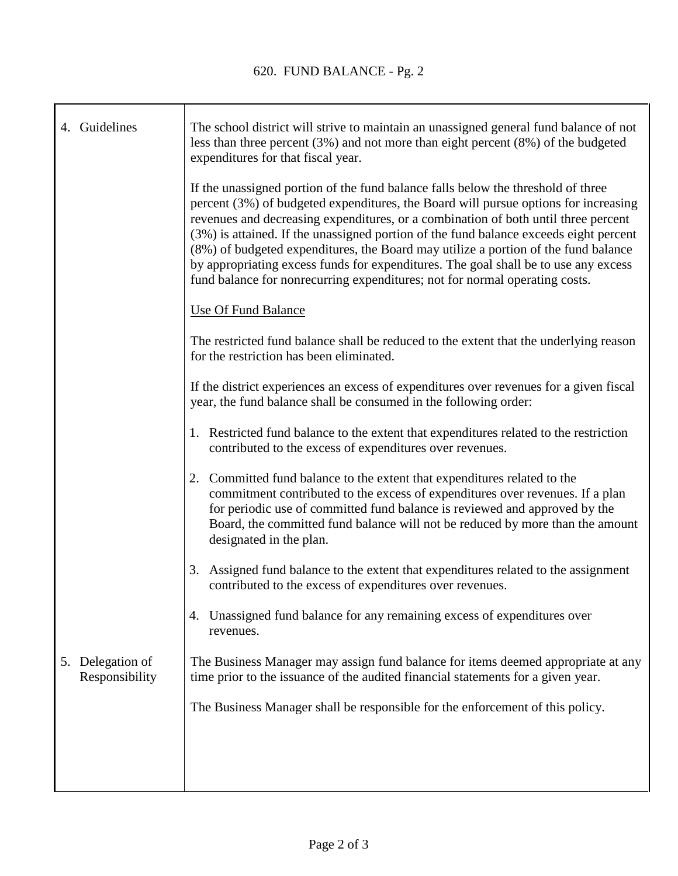| 4. Guidelines                         | The school district will strive to maintain an unassigned general fund balance of not<br>less than three percent $(3%)$ and not more than eight percent $(8%)$ of the budgeted<br>expenditures for that fiscal year.                                                                                                                                                                                                                                                                                                                                                                                               |
|---------------------------------------|--------------------------------------------------------------------------------------------------------------------------------------------------------------------------------------------------------------------------------------------------------------------------------------------------------------------------------------------------------------------------------------------------------------------------------------------------------------------------------------------------------------------------------------------------------------------------------------------------------------------|
|                                       | If the unassigned portion of the fund balance falls below the threshold of three<br>percent (3%) of budgeted expenditures, the Board will pursue options for increasing<br>revenues and decreasing expenditures, or a combination of both until three percent<br>(3%) is attained. If the unassigned portion of the fund balance exceeds eight percent<br>(8%) of budgeted expenditures, the Board may utilize a portion of the fund balance<br>by appropriating excess funds for expenditures. The goal shall be to use any excess<br>fund balance for nonrecurring expenditures; not for normal operating costs. |
|                                       | <b>Use Of Fund Balance</b>                                                                                                                                                                                                                                                                                                                                                                                                                                                                                                                                                                                         |
|                                       | The restricted fund balance shall be reduced to the extent that the underlying reason<br>for the restriction has been eliminated.                                                                                                                                                                                                                                                                                                                                                                                                                                                                                  |
|                                       | If the district experiences an excess of expenditures over revenues for a given fiscal<br>year, the fund balance shall be consumed in the following order:                                                                                                                                                                                                                                                                                                                                                                                                                                                         |
|                                       | 1. Restricted fund balance to the extent that expenditures related to the restriction<br>contributed to the excess of expenditures over revenues.                                                                                                                                                                                                                                                                                                                                                                                                                                                                  |
|                                       | 2. Committed fund balance to the extent that expenditures related to the<br>commitment contributed to the excess of expenditures over revenues. If a plan<br>for periodic use of committed fund balance is reviewed and approved by the<br>Board, the committed fund balance will not be reduced by more than the amount<br>designated in the plan.                                                                                                                                                                                                                                                                |
|                                       | 3. Assigned fund balance to the extent that expenditures related to the assignment<br>contributed to the excess of expenditures over revenues.                                                                                                                                                                                                                                                                                                                                                                                                                                                                     |
|                                       | Unassigned fund balance for any remaining excess of expenditures over<br>4.<br>revenues.                                                                                                                                                                                                                                                                                                                                                                                                                                                                                                                           |
| Delegation of<br>5.<br>Responsibility | The Business Manager may assign fund balance for items deemed appropriate at any<br>time prior to the issuance of the audited financial statements for a given year.                                                                                                                                                                                                                                                                                                                                                                                                                                               |
|                                       | The Business Manager shall be responsible for the enforcement of this policy.                                                                                                                                                                                                                                                                                                                                                                                                                                                                                                                                      |
|                                       |                                                                                                                                                                                                                                                                                                                                                                                                                                                                                                                                                                                                                    |
|                                       |                                                                                                                                                                                                                                                                                                                                                                                                                                                                                                                                                                                                                    |